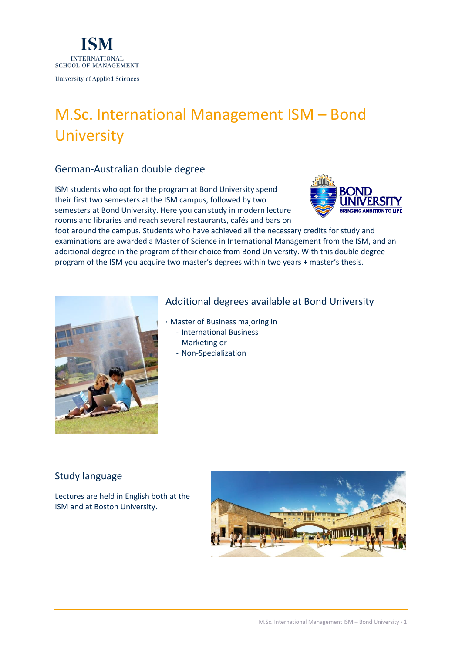

# M.Sc. International Management ISM – Bond **University**

## German-Australian double degree

ISM students who opt for the program at Bond University spend their first two semesters at the ISM campus, followed by two semesters at Bond University. Here you can study in modern lecture rooms and libraries and reach several restaurants, cafés and bars on



foot around the campus. Students who have achieved all the necessary credits for study and examinations are awarded a Master of Science in International Management from the ISM, and an additional degree in the program of their choice from Bond University. With this double degree program of the ISM you acquire two master's degrees within two years + master's thesis.



## Additional degrees available at Bond University

- · Master of Business majoring in
	- ˗ International Business
	- ˗ Marketing or
	- ˗ Non-Specialization

## Study language

Lectures are held in English both at the ISM and at Boston University.